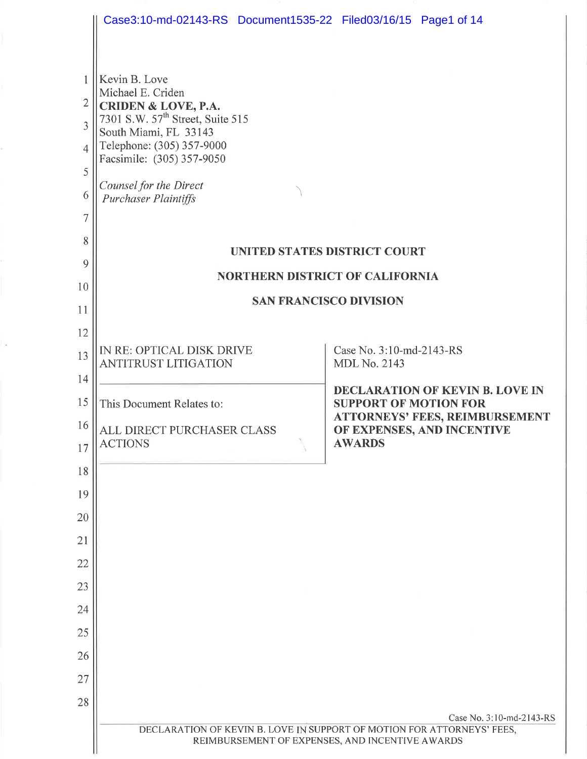|                | Case3:10-md-02143-RS Document1535-22 Filed03/16/15 Page1 of 14                                                            |                                                                        |  |  |  |
|----------------|---------------------------------------------------------------------------------------------------------------------------|------------------------------------------------------------------------|--|--|--|
|                |                                                                                                                           |                                                                        |  |  |  |
|                | Kevin B. Love                                                                                                             |                                                                        |  |  |  |
| $\overline{2}$ | Michael E. Criden<br>CRIDEN & LOVE, P.A.                                                                                  |                                                                        |  |  |  |
| $\overline{3}$ | 7301 S.W. 57 <sup>th</sup> Street, Suite 515<br>South Miami, FL 33143                                                     |                                                                        |  |  |  |
| $\overline{4}$ | Telephone: (305) 357-9000<br>Facsimile: (305) 357-9050                                                                    |                                                                        |  |  |  |
| 5              | Counsel for the Direct                                                                                                    |                                                                        |  |  |  |
| 6              | <b>Purchaser Plaintiffs</b>                                                                                               |                                                                        |  |  |  |
| 7              |                                                                                                                           |                                                                        |  |  |  |
| 8              | UNITED STATES DISTRICT COURT                                                                                              |                                                                        |  |  |  |
| 9              | <b>NORTHERN DISTRICT OF CALIFORNIA</b>                                                                                    |                                                                        |  |  |  |
| 10<br>11       | <b>SAN FRANCISCO DIVISION</b>                                                                                             |                                                                        |  |  |  |
| 12             |                                                                                                                           |                                                                        |  |  |  |
| 13             | IN RE: OPTICAL DISK DRIVE                                                                                                 | Case No. 3:10-md-2143-RS                                               |  |  |  |
| 14             | <b>ANTITRUST LITIGATION</b>                                                                                               | <b>MDL No. 2143</b>                                                    |  |  |  |
| 15             | This Document Relates to:                                                                                                 | <b>DECLARATION OF KEVIN B. LOVE IN</b><br><b>SUPPORT OF MOTION FOR</b> |  |  |  |
| 16             | ALL DIRECT PURCHASER CLASS                                                                                                | <b>ATTORNEYS' FEES, REIMBURSEMENT</b><br>OF EXPENSES, AND INCENTIVE    |  |  |  |
| 17             | <b>ACTIONS</b>                                                                                                            | <b>AWARDS</b>                                                          |  |  |  |
| 18             |                                                                                                                           |                                                                        |  |  |  |
| 19             |                                                                                                                           |                                                                        |  |  |  |
| 20             |                                                                                                                           |                                                                        |  |  |  |
| 21             |                                                                                                                           |                                                                        |  |  |  |
| 22             |                                                                                                                           |                                                                        |  |  |  |
| 23             |                                                                                                                           |                                                                        |  |  |  |
| 24             |                                                                                                                           |                                                                        |  |  |  |
| 25             |                                                                                                                           |                                                                        |  |  |  |
| 26             |                                                                                                                           |                                                                        |  |  |  |
| 27<br>28       |                                                                                                                           |                                                                        |  |  |  |
|                |                                                                                                                           | Case No. 3:10-md-2143-RS                                               |  |  |  |
|                | DECLARATION OF KEVIN B. LOVE IN SUPPORT OF MOTION FOR ATTORNEYS' FEES,<br>REIMBURSEMENT OF EXPENSES, AND INCENTIVE AWARDS |                                                                        |  |  |  |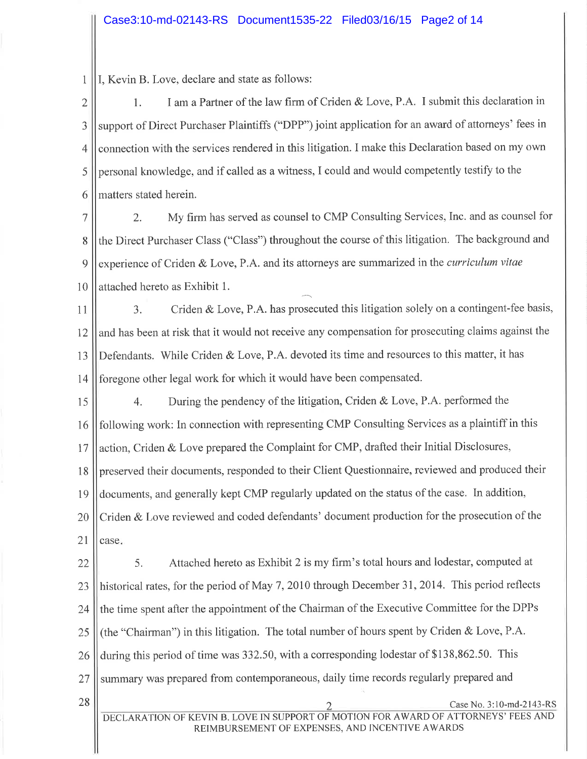1 I, Kevin B. Love, declare and state as follows:

28

2 J 4 5 6 l. I am a Partner of the law firm of Criden & Love, P.A. I submit this declaration in support of Direct Purchaser Plaintiffs ("DPP") joint application for an award of attorneys' fees in connection with the services rendered in this litigation. I make this Declaration based on my own personal knowledge, and if called as a witness, I could and would competently testify to the matters stated herein.

7 8 9 10 2. My firm has served as counsel to CMP Consulting Services, Inc. and as counsel for the Direct Purchaser Class ("Class") throughout the course of this litigation. The background and experience of Criden & Love, P.A. and its attorneys are summarized in the *curriculum vitae* attached hereto as Exhibit 1.

11 t2 13 t4 3. Criden & Love, P.A. has prosecuted this litigation solely on a contingent-fee basis, and has been at risk that it would not receive any compensation for prosecuting claims against the Defendants. While Criden & Love, P.A. devoted its time and resources to this matter, it has foregone other legal work for which it would have been compensated.

15 16 17 18 19 20 2l 4. During the pendency of the litigation, Criden & Love, P.A. performed the following work: In connection with representing CMP Consulting Services as a plaintiff in this action, Criden & Love prepared the Complaint for CMP, drafted their Initial Disclosures, preserved their documents, responded to their Client Questionnaire, reviewed and produced their documents, and generally kept CMP regularly updated on the status of the case. In addition, Criden & Love reviewed and coded defendants' document production for the prosecution of the case

22 23 24 25 26 27 5. Attached hereto as Exhibit 2 is my firm's total hours and lodestar, computed at historical rates, for the period of May 7,2010 through December 3I,2014. This period reflects the time spent after the appointment of the Chairman of the Executive Committee for the DPPs (the "Chairman") in this litigation. The total number of hours spent by Criden & Love, P.A. during this period of time was 332.50, with a corresponding lodestar of \$138,862.50. This summary was prepared from contemporaneous, daily time records regularly prepared and

Case No. 3:10-md-2143-RS DECLARATION OF KEVIN B. LOVE IN SUPPORT OF MOTION FOR AWARD OF ATTORNEYS' FEES AND REIMBURSEMENT OF EXPENSES, AND INCENTIVE AWARDS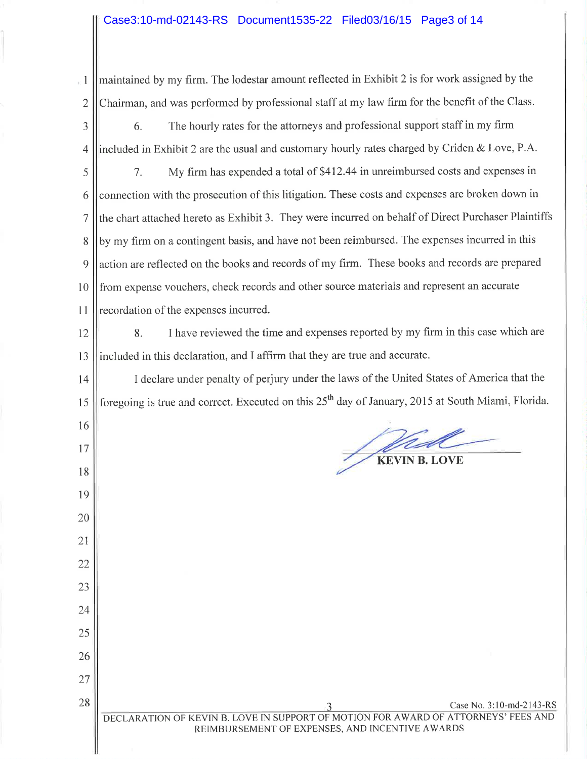## Case3:10-md-02143-RS Document1535-22 Filed03/16/15 Page3 of 14

 $\mathbf{I}$ 2 maintained by my firm. The lodestar amount reflected in Exhibit 2 is for work assigned by the Chairman, and was performed by professional staff at my law firm for the benefit of the Class.

- J 4 6. The hourly rates for the attomeys and professional support staff in my firm included in Exhibit 2 are the usual and customary hourly rates charged by Criden & Love, P.A.
- 5 6 7 8 9 l0 11 <sup>7</sup>. My firm has expended a total of 5412.44 in unreimbursed costs and expenses in connection with the prosecution of this litigation. These costs and expenses are broken down in the chart attached hereto as Exhibit 3. They were incurred on behalf of Direct Purchaser Plaintiffs by my firm on a contingent basis, and have not been reimbursed. The expenses incurred in this action are reflected on the books and records of my firm. These books and records are prepared from expense vouchers, check records and other source materials and represent an accurate recordation of the expenses incurred.
- 12 13 8. <sup>I</sup>have reviewed the time and expenses reported by my firm in this case which are included in this declaration, and I affirm that they are true and accurate.

14 15 I declare under penalty of perjury under the laws of the United States of America that the foregoing is true and correct. Executed on this 25<sup>th</sup> day of January, 2015 at South Miami, Florida.

I6

t7

18

l9

20

21

22

23

24

25

26

27

28

KEVIN B. LOVE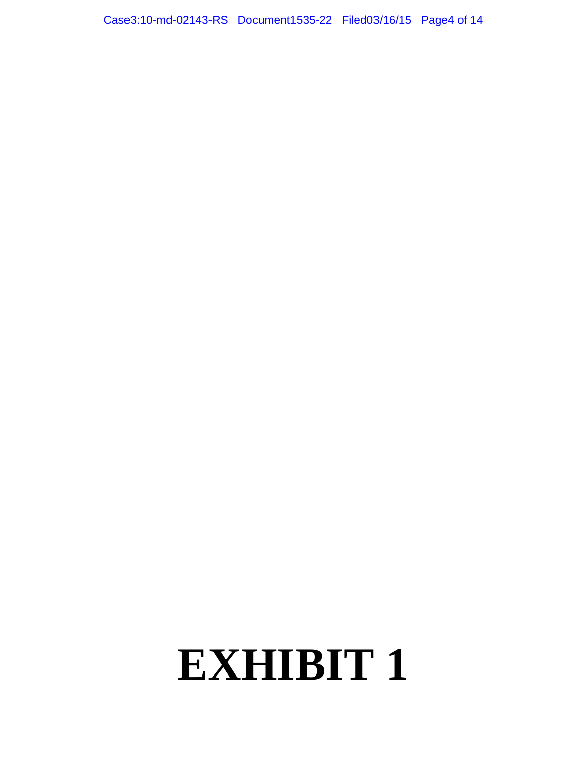Case3:10-md-02143-RS Document1535-22 Filed03/16/15 Page4 of 14

# **EXHIBIT 1**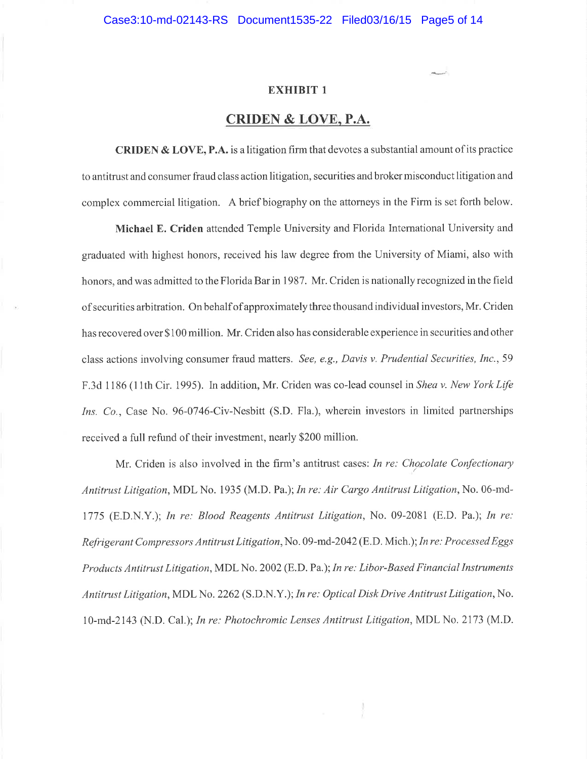## CRIDEN & LOVE, P.A.

CRIDEN & LOVE, P.A. is a litigation firm that devotes a substantial amount of its practice to antitrust and consumer fraud class action litigation, securities and broker misconduct litigation and complex commercial litigation. A brief biography on the attorneys in the Firm is set forth below.

Michael E. Criden attended Temple University and Florida Intemational University and graduated with highest honors, received his law degree from the University of Miami, also with honors, and was admitted to the Florida Bar in 1987. Mr. Criden is nationally recognized in the field of securities arbitration. On behalf of approximately three thousand individual investors, Mr. Criden has recovered over \$100 million. Mr. Criden also has considerable experience in securities and other class actions involving consumer fraud matters. See, e.g., Davis v. Prudential Securities, Inc., 59 F.3d 1186 (11th Cir. 1995). In addition, Mr. Criden was co-lead counsel in Shea v. New York Life Ins. Co., Case No. 96-0746-Civ-Nesbitt (S.D. Fla.), wherein investors in limited partnerships received a full refund of their investment, nearly \$200 million.

Mr. Criden is also involved in the firm's antitrust cases: In re: Chocolate Confectionary Antitrust Litigation, MDL No. 1935 (M.D. Pa.); In re: Air Cargo Antitrust Litigation, No. 06-md-1775 (E.D.N.Y.); In re: Blood Reagents Antitrust Litigation, No. 09-2081 (E.D. Pa.); In re: Refrigerant Compressors Antitrust Litigation,No. 09-md-2042(8.D. Mich.); In re: Processed Eggs Products Antitrust Litigation, MDL No. 2002 (E.D.Pa.); In re: Libor-Based Financial Instruments Antitrust Litigation, MDL No. 2262 (S.D.N.Y.); In re: Optical Disk Drive Antitrust Litigation,No. l0-md-2143 (N.D. Cal.); In re: Photochromic Lenses Antitrust Litigation, MDL No. 2173 (M.D.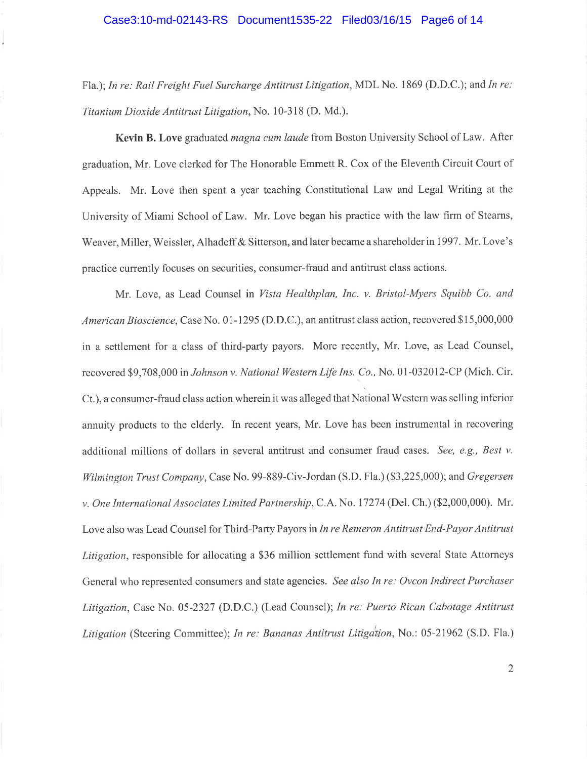Fla.); In re: Rail Freight Fuel Surcharge Antitrust Litigation, MDL No. 1869 (D.D.C.); and In re: Titanium Dioxide Antitrust Litigation,No. 10-318 (D. Md.).

Kevin B. Love graduated *magna cum laude* from Boston University School of Law. After graduation, Mr. Love clerked for The Honorable Emmett R. Cox of the Eleventh Circuit Court of Appeals. Mr. Love then spent a year teaching Constitutional Law and Legal Writing at the University of Miami School of Law. Mr. Love began his practice with the law firm of Stearns, Weaver, Miller, Weissler, Alhadeff & Sitterson, and later became a shareholder in 1997. Mr. Love's practice currently focuses on securities, consumer-fraud and antitrust class actions.

Mr. Love, as Lead Counsel in Vista Healthplan, Inc. v. Bristol-Myers Squibb Co. and American Bioscience, Case No. 01-1295 (D.D.C.), an antitrust class action, recovered \$15,000,000 in a settlement for a class of third-party payors. More recently, Mr. Love, as Lead Counsel, recovered \$9,708,000 in Johnson v. National Western Life Ins. Co., No. 01-032012-CP (Mich. Cir. Ct.), aconsumer-fiaud class action wherein it was alleged that National Westem was selling inferior annuity products to the elderly. In recent years, Mr. Love has been instrumental in recovering additional millions of dollars in several antitrust and consumer fraud cases. See, e.g., Best v. Wilmington Trust Company, Case No. 99-889-Civ-Jordan (S.D. Fla.) (\$3,225,000); and Gregersen v. One International Associates Limited Partnership, C.A. No. 17274 (Del. Ch.) (\$2,000,000). Mr. Love also was Lead Counsel for Third-Party Payors in In re Remeron Antitrust End-Payor Antitrust Litigation, responsible for allocating a \$36 million settlement fund with several State Attorneys General who represented consumers and state agencies. See also In re: Ovcon Indirect Purchaser Litigation, Case No. 05-2327 (D.D.C.) (Lead Counsel); In re: Puerto Rican Cabotage Antitrust Litigation (Steering Committee); In re: Bananas Antitrust Litigation, No.: 05-21962 (S.D. Fla.)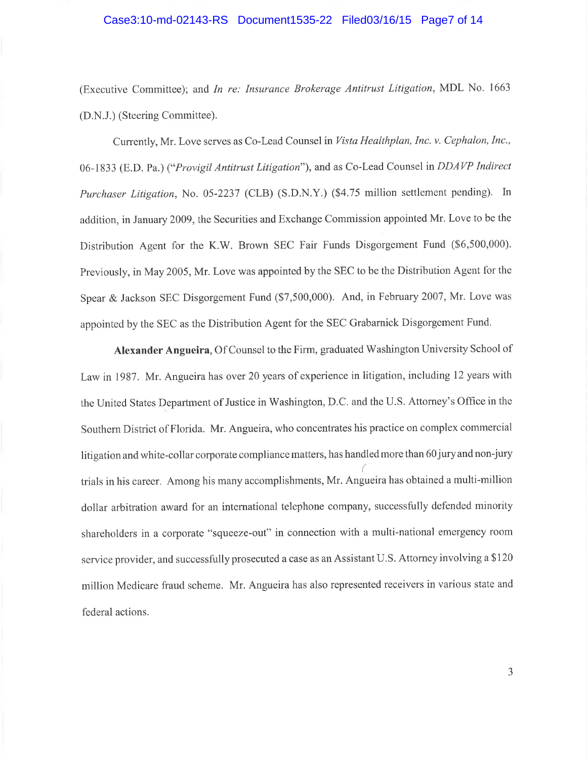### Case3:10-md-02143-RS Document1535-22 Filed03/16/15 Page7 of 14

(Executive Committee); and In re: Insurance Brokerage Antitrust Litigation, MDL No. <sup>1663</sup> (D.N.J.) (Steering Committee).

Currently, Mr. Love serves as Co-Lead Counsel in Vista Healthplan, Inc. v. Cephalon, Inc., 06-1833 (E.D. Pa.) ("Provigil Antitrust Litigation"), and as Co-Lead Counsel in DDAVP Indirect Purchaser Litigation, No. 05-2237 (CLB) (S.D.N.Y.) (\$4.75 million settlement pending). In addition, in January 2009, the Securities and Exchange Commission appointed Mr. Love to be the Distribution Agent for the K.W. Brown SEC Fair Funds Disgorgement Fund (\$6,500,000). Previously, in May 2005, Mr. Love was appointed by the SEC to be the Distribution Agent for the Spear & Jackson SEC Disgorgement Fund (\$7,500,000). And, in February 2007, Mr. Love was appointed by the SEC as the Distribution Agent for the SEC Grabarnick Disgorgement Fund.

Alexander Angueira, Of Counsel to the Firm, graduated Washington University School of Law in 1987. Mr. Angueira has over 20 years of experience in litigation, including l2 years with the United States Department of Justice in Washington, D.C. and the U.S. Attorney's Office in the Southem District of Florida. Mr. Angueira, who concentrates his practice on complex commercial litigation and white-collar corporate compliance matters, has handled more than 60 jury and non-jury trials in his career. Among his many accomplishments, Mr. Angueira has obtained a multi-million dollar arbitration award for an international telephone company, successfully defended minority shareholders in a corporate "squeeze-out" in connection with a multi-national emergency room service provider, and successfully prosecuted a case as an Assistant U.S. Attorney involving a \$120 million Medicare fraud scheme. Mr. Angueira has also represented receivers in various state and federal actions.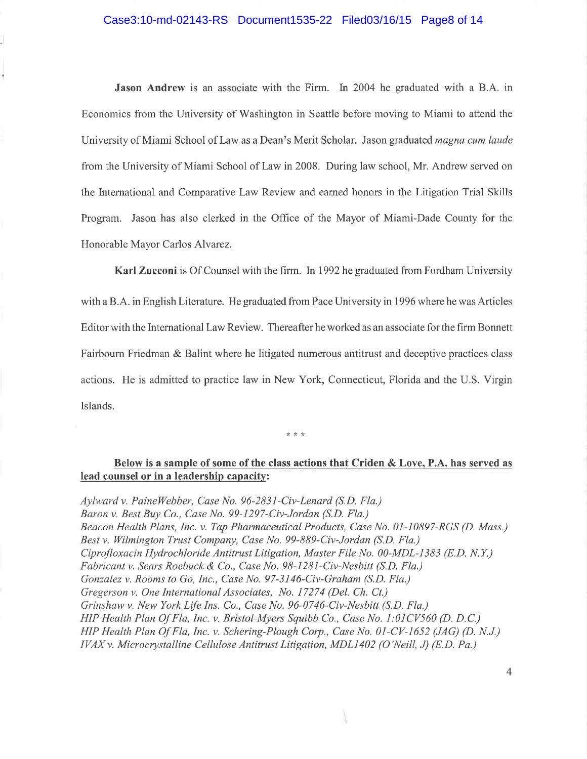### Case3:10-md-02143-RS Document1535-22 Filed03/16/15 Page8 of 14

Jason Andrew is an associate with the Firm. In 2004 he graduated with a B.A. in Economics from the University of Washington in Seattle before moving to Miami to attend the University of Miami School of Law as a Dean's Merit Scholar. Jason graduated *magna cum laude* from the University of Miami School of Law in 2008. During law school, Mr. Andrew served on the lnternational and Comparative Law Review and earued honors in the Litigation Trial Skills Program. Jason has also clerked in the Office of the Mayor of Miami-Dade County for the Honorable Mayor Carlos Alvarez.

Karl Zucconi is Of Counsel with the firm. In 1992 he graduated from Fordham University with a B.A. in English Literature. He graduated from Pace University in 1996 where he was Articles Editor with the International Law Review. Thereafter he worked as an associate for the firm Bonnett Fairbourn Friedman & Balint where he litigated numerous antitrust and deceptive practices class actions. He is admitted to practice law in New York, Connecticut, Florida and the U.S. Virgin Islands.

 $* * *$ 

### Below is a sample of some of the class actions that Criden & Love, P.A. has served as lead counsel or in a leadership capacity:

Aylward v. PaineWebber, Case No. 96-2831-Civ-Lenard (5.D. Fla.) Baron v. Best Buy Co., Case No. 99-I2g7-Civ-Jordan (5.D. Fla.) Beacon Health Plans, Inc. v. Tap Pharmaceutical Products, Case No. 01-10897-RGS (D. Mass.) Best v. Wilmington Trust Company, Case No. 99-889-Civ-Jordan (5.D. Fla.) Ciprofloxacin Hydrochloride Antitrust Litigation, Master File No. 00-MDL-l383 (8.D. N.Y.) Fabricant v. Sears Roebuck & Co., Case No. 98-1281-Civ-Nesbitt (5.D. Fla.) Gonzalez v. Rooms to Go, Inc., Case No. 97-3146-Civ-Graham (5.D. Fla.) Gregerson v. One International Associates, No. 17274 (Del. Ch. Ct.) Grinshaw v. New York Life Ins. Co., Case No. 96-0746-Civ-Nesbitt (5.D. Fla.) HIP Health Plan Of Fla, Inc. v. Bristol-Myers Squibb Co., Case No. 1:01CV560 (D. D.C.) HIP Health Plan Of Fla, Inc. v. Schering-Plough Corp., Case No. 01-CV-1652 (JAG) (D. N.J.) IVAX v. Microcrystalline Cellulose Antitrust Litigation, MDL1402 (O'Neill, J) (E.D. Pa.)

4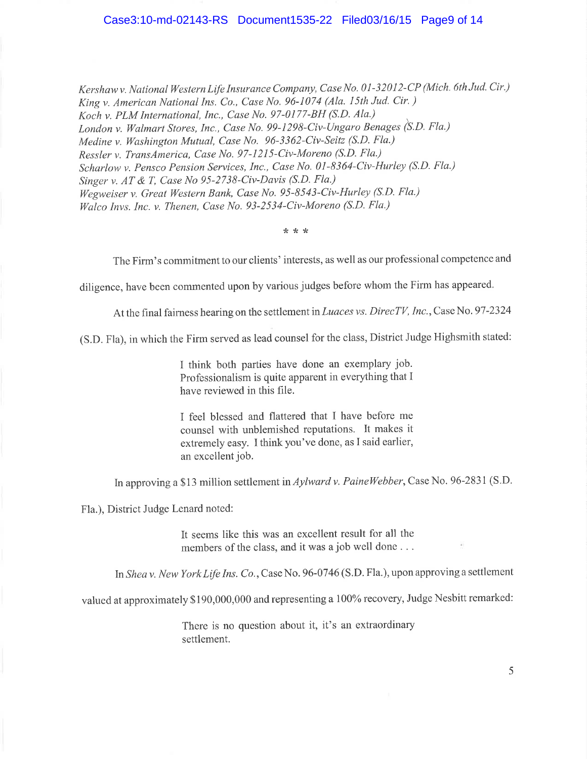#### Case3:10-md-02143-RS Document1535-22 Filed03/16/15 Page9 of 14

Kershaw v. National Western Life Insurance Company, Case No. 01-32012-CP (Mich. 6th Jud. Cir.) King v. American National Ins. Co., Case No. 96-1074 (Ala. 15th Jud. Cir. ) Koch v. PLM International, Inc., Case No. 97-0177-BH (5.D. Ala.) \ London v. Walmart Stores, Inc., Case No. 99-1298-Civ-Ungaro Benages (S.D. Fla.) Medine v. Washington Mutual, Case No. 96-3362-Civ-Seitz (S.D. Fla.) Ressler v. TransAmerica, Case No. 97-121S-Civ-Moreno (5.D. Fla.) Scharlow v. Pensco Pension Services, Inc., Case No. 01-8364-Civ-Hurley (5.D. Fla.) Singer v. AT & T, Case No 95-2738-Civ-Davis (S.D. Fla.) Wegweiser v. Great Western Bank, Case No. 95-8543-Civ-Hurley (S.D. Fla.) Walco Invs. Inc. v. Thenen, Case No. 93-2534-Civ-Moreno (5.D. Fla.)

?t\*\*

The Firm's commitment to our clients' interests, as well as our professional competence and

diligence, have been commented upon by various judges before whom the Firm has appeared.

At the final fairness hearing on the settlement in Luaces vs. DirecTV, Inc., Case No. 97-2324

(S.D. Fla), in which the Firm served as lead counsel for the class, District Judge Highsmith stated:

I think both parties have done an exemplary job. Professionalism is quite apparent in everything that I have reviewed in this file.

I feel blessed and flattered that I have before me counsel with unblemished reputations. It makes it extremely easy. I think you've done, as I said earlier, an excellent job.

In approving a \$13 million settlement in Aylward v. PaineWebber, Case No. 96-2831 (S.D.

Fla.), District Judge Lenard noted:

It seems like this was an excellent result for all the members of the class, and it was a job well done ...

In Sheav. New York Life Ins. Co.,Case No. 96-07 46 (S.D. Fla.), upon approving a settlement

valued at approximately \$190,000,000 and representing a 100% recovery, Judge Nesbitt remarked:

There is no question about it, it's an extraordinary settlement.

5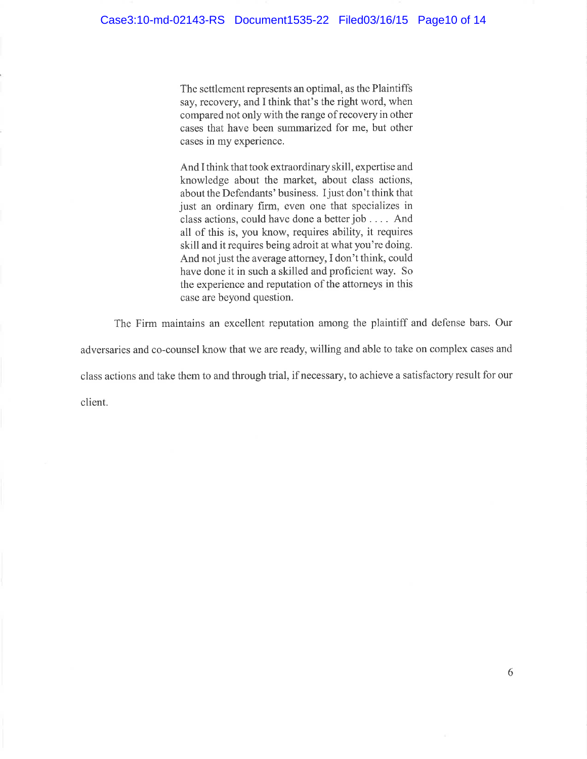The settlement represents an optimal, as the Plaintiffs say, recovery, and I think that's the right word, when compared not onlywith the range of recovery in other cases that have been summarized for me, but other cases in my experience.

And I think that took extraordinary skill, expertise and knowledge about the market, about class actions, about the Defendants' business. I just don't think that just an ordinary firm, even one that specializes in class actions, could have done a better job . . . . And all of this is, you know, requires ability, it requires skill and it requires being adroit at what you're doing. And not just the average attorney, I don't think, could have done it in such a skilled and proficient way. So the experience and reputation of the attorneys in this case are beyond question.

The Firm maintains an excellent reputation among the plaintiff and defense bars. Our adversaries and co-counsel know that we are ready, willing and able to take on complex cases and class actions and take them to and through trial, if necessary, to achieve a satisfactory result for our client.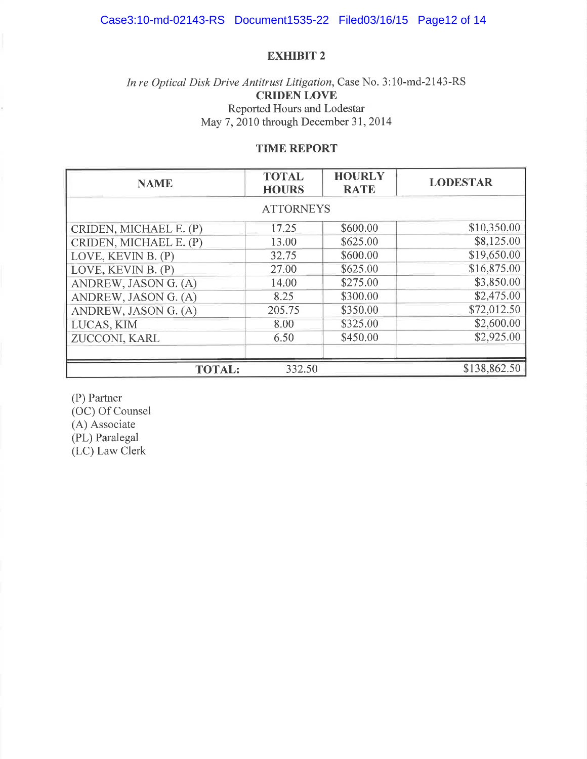## In re Optical Disk Drive Antitrust Litigation, Case No. 3:10-md-2143-RS CRIDEN LOVE Reported Hours and Lodestar May 7, 2010 through December 31, 2014

### TIME REPORT

| <b>NAME</b>                             | <b>TOTAL</b><br><b>HOURS</b> | <b>HOURLY</b><br><b>RATE</b> | <b>LODESTAR</b> |  |  |
|-----------------------------------------|------------------------------|------------------------------|-----------------|--|--|
| <b>ATTORNEYS</b>                        |                              |                              |                 |  |  |
| CRIDEN, MICHAEL E. (P)                  | 17.25                        | \$600.00                     | \$10,350.00     |  |  |
| CRIDEN, MICHAEL E. (P)                  | 13.00                        | \$625.00                     | \$8,125.00      |  |  |
| LOVE, KEVIN B. (P)                      | 32.75                        | \$600.00                     | \$19,650.00     |  |  |
| LOVE, KEVIN B. (P)                      | 27.00                        | \$625.00                     | \$16,875.00     |  |  |
| ANDREW, JASON G. (A)                    | 14.00                        | \$275.00                     | \$3,850.00      |  |  |
| ANDREW, JASON G. (A)                    | 8.25                         | \$300.00                     | \$2,475.00      |  |  |
| ANDREW, JASON G. (A)                    | 205.75                       | \$350.00                     | \$72,012.50     |  |  |
| LUCAS, KIM                              | 8.00                         | \$325.00                     | \$2,600.00      |  |  |
| ZUCCONI, KARL                           | 6.50                         | \$450.00                     | \$2,925.00      |  |  |
|                                         |                              |                              |                 |  |  |
| \$138,862.50<br>332.50<br><b>TOTAL:</b> |                              |                              |                 |  |  |

(P) Partner

(OC) Of Counsel (A) Associate

(PL) Paralegal

(LC) Law Clerk